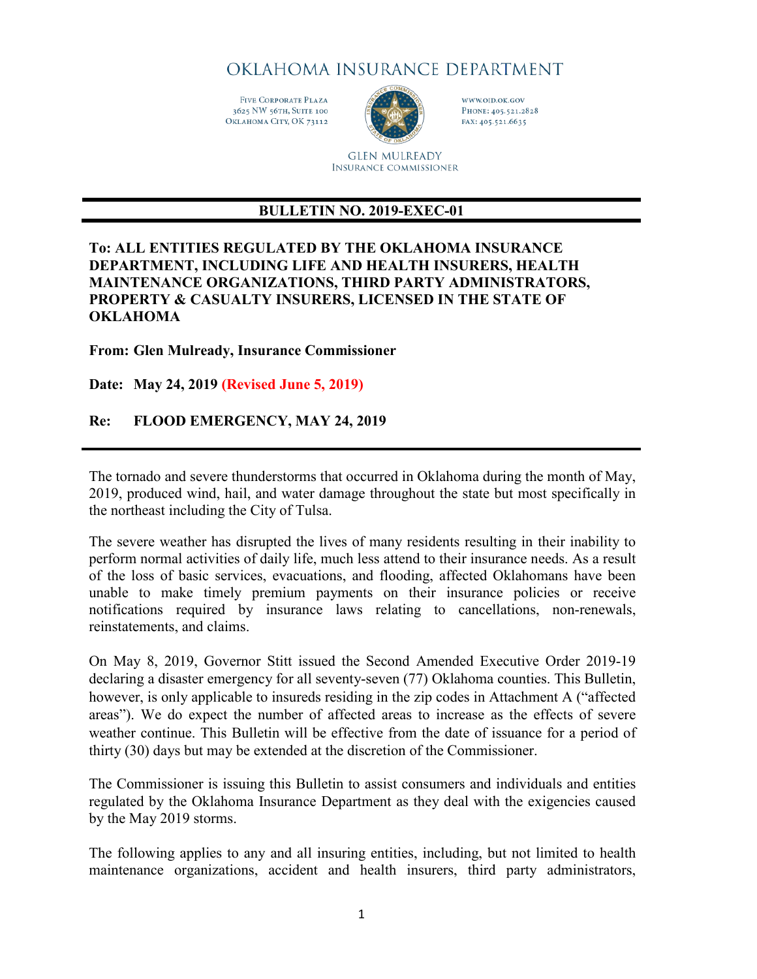OKLAHOMA INSURANCE DEPARTMENT

FIVE CORPORATE PLAZA 3625 NW 56TH, SUITE 100 ОкLAHOMA СІТУ, ОК 73112



WWW.OID.OK.GOV PHONE: 405.521.2828 FAX: 405.521.6635

**GLEN MULREADY INSURANCE COMMISSIONER** 

# **BULLETIN NO. 2019-EXEC-01**

### **To: ALL ENTITIES REGULATED BY THE OKLAHOMA INSURANCE DEPARTMENT, INCLUDING LIFE AND HEALTH INSURERS, HEALTH MAINTENANCE ORGANIZATIONS, THIRD PARTY ADMINISTRATORS, PROPERTY & CASUALTY INSURERS, LICENSED IN THE STATE OF OKLAHOMA**

#### **From: Glen Mulready, Insurance Commissioner**

**Date: May 24, 2019 (Revised June 5, 2019)**

### **Re: FLOOD EMERGENCY, MAY 24, 2019**

The tornado and severe thunderstorms that occurred in Oklahoma during the month of May, 2019, produced wind, hail, and water damage throughout the state but most specifically in the northeast including the City of Tulsa.

The severe weather has disrupted the lives of many residents resulting in their inability to perform normal activities of daily life, much less attend to their insurance needs. As a result of the loss of basic services, evacuations, and flooding, affected Oklahomans have been unable to make timely premium payments on their insurance policies or receive notifications required by insurance laws relating to cancellations, non-renewals, reinstatements, and claims.

On May 8, 2019, Governor Stitt issued the Second Amended Executive Order 2019-19 declaring a disaster emergency for all seventy-seven (77) Oklahoma counties. This Bulletin, however, is only applicable to insureds residing in the zip codes in Attachment A ("affected areas"). We do expect the number of affected areas to increase as the effects of severe weather continue. This Bulletin will be effective from the date of issuance for a period of thirty (30) days but may be extended at the discretion of the Commissioner.

The Commissioner is issuing this Bulletin to assist consumers and individuals and entities regulated by the Oklahoma Insurance Department as they deal with the exigencies caused by the May 2019 storms.

The following applies to any and all insuring entities, including, but not limited to health maintenance organizations, accident and health insurers, third party administrators,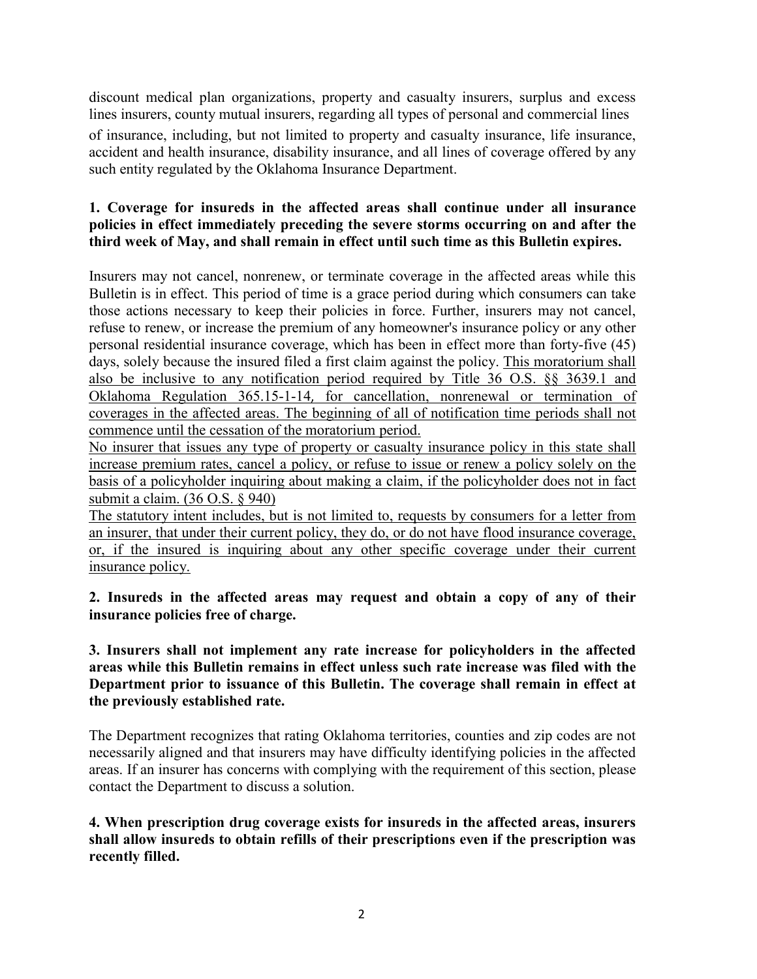discount medical plan organizations, property and casualty insurers, surplus and excess lines insurers, county mutual insurers, regarding all types of personal and commercial lines of insurance, including, but not limited to property and casualty insurance, life insurance, accident and health insurance, disability insurance, and all lines of coverage offered by any such entity regulated by the Oklahoma Insurance Department.

# **1. Coverage for insureds in the affected areas shall continue under all insurance policies in effect immediately preceding the severe storms occurring on and after the third week of May, and shall remain in effect until such time as this Bulletin expires.**

Insurers may not cancel, nonrenew, or terminate coverage in the affected areas while this Bulletin is in effect. This period of time is a grace period during which consumers can take those actions necessary to keep their policies in force. Further, insurers may not cancel, refuse to renew, or increase the premium of any homeowner's insurance policy or any other personal residential insurance coverage, which has been in effect more than forty-five (45) days, solely because the insured filed a first claim against the policy. This moratorium shall also be inclusive to any notification period required by Title 36 O.S. §§ 3639.1 and Oklahoma Regulation 365.15-1-14, for cancellation, nonrenewal or termination of coverages in the affected areas. The beginning of all of notification time periods shall not commence until the cessation of the moratorium period.

No insurer that issues any type of property or casualty insurance policy in this state shall increase premium rates, cancel a policy, or refuse to issue or renew a policy solely on the basis of a policyholder inquiring about making a claim, if the policyholder does not in fact submit a claim. (36 O.S. § 940)

The statutory intent includes, but is not limited to, requests by consumers for a letter from an insurer, that under their current policy, they do, or do not have flood insurance coverage, or, if the insured is inquiring about any other specific coverage under their current insurance policy.

**2. Insureds in the affected areas may request and obtain a copy of any of their insurance policies free of charge.**

**3. Insurers shall not implement any rate increase for policyholders in the affected areas while this Bulletin remains in effect unless such rate increase was filed with the Department prior to issuance of this Bulletin. The coverage shall remain in effect at the previously established rate.**

The Department recognizes that rating Oklahoma territories, counties and zip codes are not necessarily aligned and that insurers may have difficulty identifying policies in the affected areas. If an insurer has concerns with complying with the requirement of this section, please contact the Department to discuss a solution.

**4. When prescription drug coverage exists for insureds in the affected areas, insurers shall allow insureds to obtain refills of their prescriptions even if the prescription was recently filled.**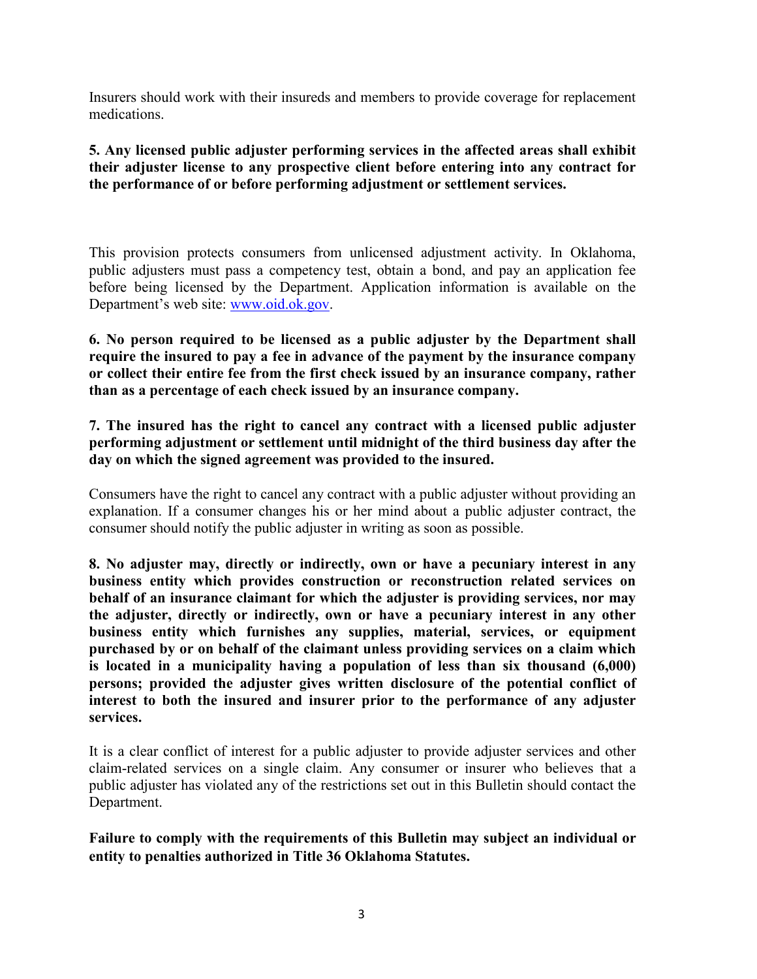Insurers should work with their insureds and members to provide coverage for replacement medications.

## **5. Any licensed public adjuster performing services in the affected areas shall exhibit their adjuster license to any prospective client before entering into any contract for the performance of or before performing adjustment or settlement services.**

This provision protects consumers from unlicensed adjustment activity. In Oklahoma, public adjusters must pass a competency test, obtain a bond, and pay an application fee before being licensed by the Department. Application information is available on the Department's web site: [www.oid.ok.gov.](http://www.oid.ok.gov/)

**6. No person required to be licensed as a public adjuster by the Department shall require the insured to pay a fee in advance of the payment by the insurance company or collect their entire fee from the first check issued by an insurance company, rather than as a percentage of each check issued by an insurance company.** 

**7. The insured has the right to cancel any contract with a licensed public adjuster performing adjustment or settlement until midnight of the third business day after the day on which the signed agreement was provided to the insured.**

Consumers have the right to cancel any contract with a public adjuster without providing an explanation. If a consumer changes his or her mind about a public adjuster contract, the consumer should notify the public adjuster in writing as soon as possible.

**8. No adjuster may, directly or indirectly, own or have a pecuniary interest in any business entity which provides construction or reconstruction related services on behalf of an insurance claimant for which the adjuster is providing services, nor may the adjuster, directly or indirectly, own or have a pecuniary interest in any other business entity which furnishes any supplies, material, services, or equipment purchased by or on behalf of the claimant unless providing services on a claim which is located in a municipality having a population of less than six thousand (6,000) persons; provided the adjuster gives written disclosure of the potential conflict of interest to both the insured and insurer prior to the performance of any adjuster services.**

It is a clear conflict of interest for a public adjuster to provide adjuster services and other claim-related services on a single claim. Any consumer or insurer who believes that a public adjuster has violated any of the restrictions set out in this Bulletin should contact the Department.

**Failure to comply with the requirements of this Bulletin may subject an individual or entity to penalties authorized in Title 36 Oklahoma Statutes.**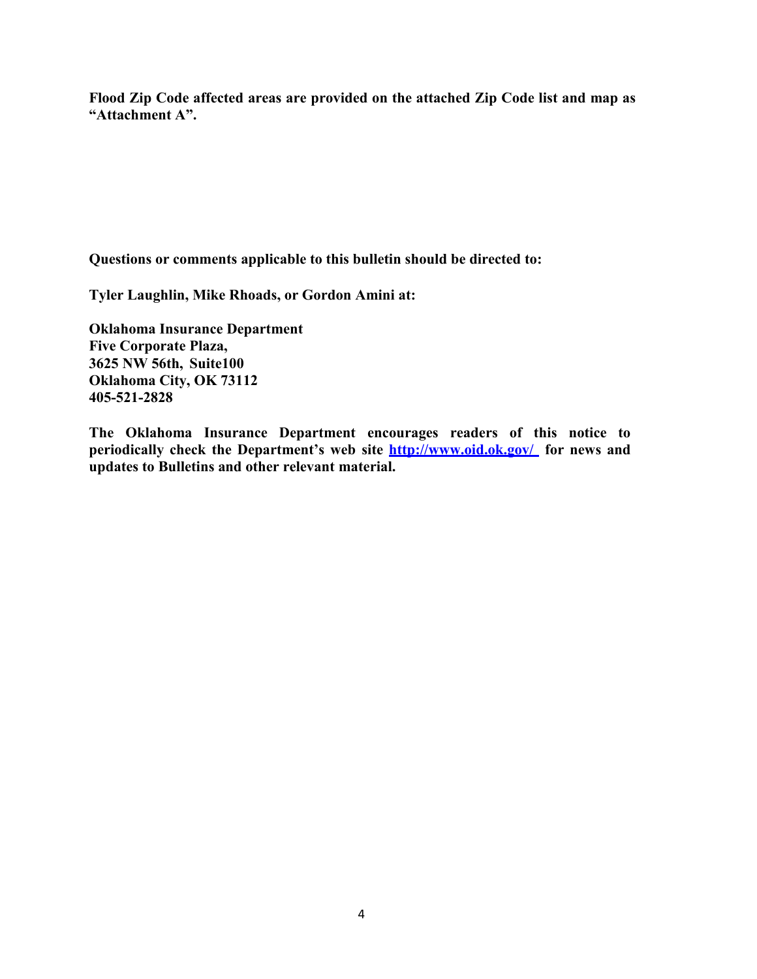**Flood Zip Code affected areas are provided on the attached Zip Code list and map as "Attachment A".**

**Questions or comments applicable to this bulletin should be directed to:** 

**Tyler Laughlin, Mike Rhoads, or Gordon Amini at:**

**Oklahoma Insurance Department Five Corporate Plaza, 3625 NW 56th, Suite100 Oklahoma City, OK 73112 405-521-2828**

**The Oklahoma Insurance Department encourages readers of this notice to periodically check the Department's web site<http://www.oid.ok.gov/> for news and updates to Bulletins and other relevant material.**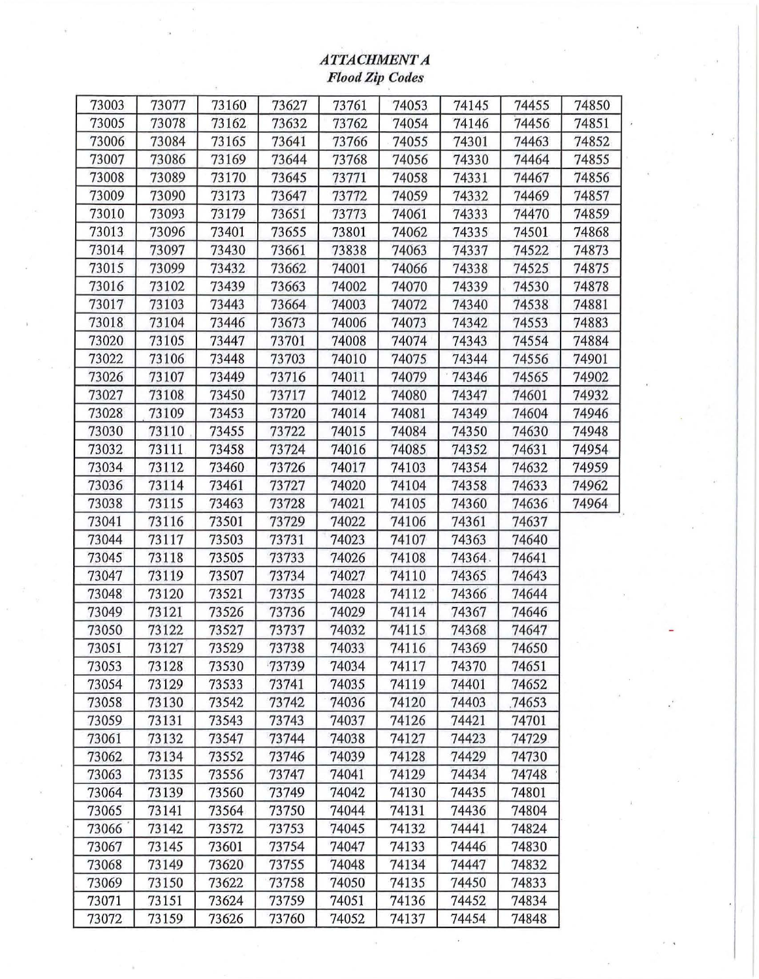# *ATTACHMENT A Flood Zip Codes*

| 73003 | 73077 | 73160 | 73627 | 73761 | 74053 | 74145  | 74455 | 74850 |
|-------|-------|-------|-------|-------|-------|--------|-------|-------|
| 73005 | 73078 | 73162 | 73632 | 73762 | 74054 | 74146  | 74456 | 74851 |
| 73006 | 73084 | 73165 | 73641 | 73766 | 74055 | 74301  | 74463 | 74852 |
| 73007 | 73086 | 73169 | 73644 | 73768 | 74056 | 74330  | 74464 | 74855 |
| 73008 | 73089 | 73170 | 73645 | 73771 | 74058 | 74331  | 74467 | 74856 |
| 73009 | 73090 | 73173 | 73647 | 73772 | 74059 | 74332  | 74469 | 74857 |
| 73010 | 73093 | 73179 | 73651 | 73773 | 74061 | 74333  | 74470 | 74859 |
| 73013 | 73096 | 73401 | 73655 | 73801 | 74062 | 74335  | 74501 | 74868 |
| 73014 | 73097 | 73430 | 73661 | 73838 | 74063 | 74337  | 74522 | 74873 |
| 73015 | 73099 | 73432 | 73662 | 74001 | 74066 | 74338  | 74525 | 74875 |
| 73016 | 73102 | 73439 | 73663 | 74002 | 74070 | 74339  | 74530 | 74878 |
| 73017 | 73103 | 73443 | 73664 | 74003 | 74072 | 74340  | 74538 | 74881 |
| 73018 | 73104 | 73446 | 73673 | 74006 | 74073 | 74342  | 74553 | 74883 |
| 73020 | 73105 | 73447 | 73701 | 74008 | 74074 | 74343  | 74554 | 74884 |
| 73022 | 73106 | 73448 | 73703 | 74010 | 74075 | 74344  | 74556 | 74901 |
| 73026 | 73107 | 73449 | 73716 | 74011 | 74079 | 74346  | 74565 | 74902 |
| 73027 | 73108 | 73450 | 73717 | 74012 | 74080 | 74347  | 74601 | 74932 |
| 73028 | 73109 | 73453 | 73720 | 74014 | 74081 | 74349  | 74604 | 74946 |
| 73030 | 73110 | 73455 | 73722 | 74015 | 74084 | 74350  | 74630 | 74948 |
| 73032 | 73111 | 73458 | 73724 | 74016 | 74085 | 74352  | 74631 | 74954 |
| 73034 | 73112 | 73460 | 73726 | 74017 | 74103 | 74354  | 74632 | 74959 |
| 73036 | 73114 | 73461 | 73727 | 74020 | 74104 | 74358  | 74633 | 74962 |
| 73038 | 73115 | 73463 | 73728 | 74021 | 74105 | 74360  | 74636 | 74964 |
| 73041 | 73116 | 73501 | 73729 | 74022 | 74106 | 74361  | 74637 |       |
| 73044 | 73117 | 73503 | 73731 | 74023 | 74107 | 74363  | 74640 |       |
| 73045 | 73118 | 73505 | 73733 | 74026 | 74108 | 74364. | 74641 |       |
| 73047 | 73119 | 73507 | 73734 | 74027 | 74110 | 74365  | 74643 |       |
| 73048 | 73120 | 73521 | 73735 | 74028 | 74112 | 74366  | 74644 |       |
| 73049 | 73121 | 73526 | 73736 | 74029 | 74114 | 74367  | 74646 |       |
| 73050 | 73122 | 73527 | 73737 | 74032 | 74115 | 74368  | 74647 |       |
| 73051 | 73127 | 73529 | 73738 | 74033 | 74116 | 74369  | 74650 |       |
| 73053 | 73128 | 73530 | 73739 | 74034 | 74117 | 74370  | 74651 |       |
| 73054 | 73129 | 73533 | 73741 | 74035 | 74119 | 74401  | 74652 |       |
| 73058 | 73130 | 73542 | 73742 | 74036 | 74120 | 74403  | 74653 |       |
| 73059 | 73131 | 73543 | 73743 | 74037 | 74126 | 74421  | 74701 |       |
| 73061 | 73132 | 73547 | 73744 | 74038 | 74127 | 74423  | 74729 |       |
| 73062 | 73134 | 73552 | 73746 | 74039 | 74128 | 74429  | 74730 |       |
| 73063 | 73135 | 73556 | 73747 | 74041 | 74129 | 74434  | 74748 |       |
| 73064 | 73139 | 73560 | 73749 | 74042 | 74130 | 74435  | 74801 |       |
| 73065 | 73141 | 73564 | 73750 | 74044 | 74131 | 74436  | 74804 |       |
| 73066 | 73142 | 73572 | 73753 | 74045 | 74132 | 74441  | 74824 |       |
| 73067 | 73145 | 73601 | 73754 | 74047 | 74133 | 74446  | 74830 |       |
| 73068 | 73149 | 73620 | 73755 | 74048 | 74134 | 74447  | 74832 |       |
| 73069 | 73150 | 73622 | 73758 | 74050 | 74135 | 74450  | 74833 |       |
| 73071 | 73151 | 73624 | 73759 | 74051 | 74136 | 74452  | 74834 |       |
| 73072 | 73159 | 73626 | 73760 | 74052 | 74137 | 74454  | 74848 |       |